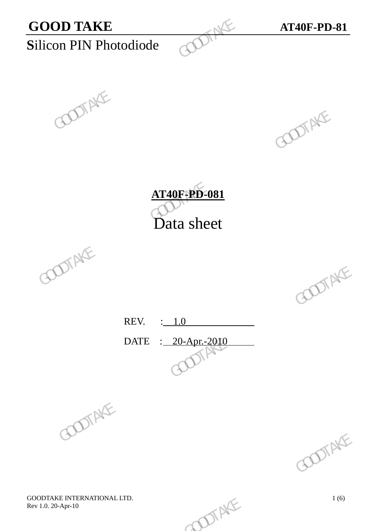



**AT40F-PD-081** Data sheet GOODTAKE GOODTAKE GOODTAKE





REV. : 1.0 DATE : 20-Apr.-2010 REV.  $\frac{1.0}{\sqrt{2000}}$  GOOTAKE





GOODTAKE INTERNATIONAL LTD.<br>
Rev 1.0. 20-Apr-10 1 (6) Rev 1.0. 20-Apr-10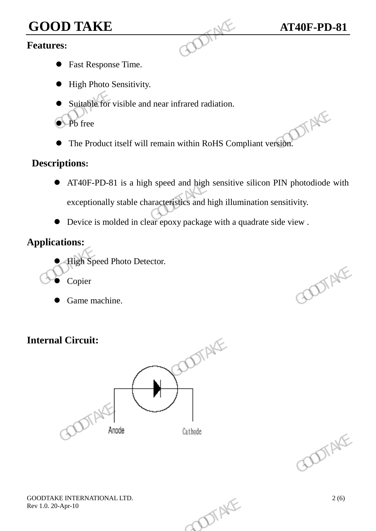# **GOOD TAKE AT40F-PD-81**<br>**Features:**

#### **Features:**

- Fast Response Time.
- $\bullet$  High Photo Sensitivity.
- Suitable for visible and near infrared radiation.
- **P**b free
- The Product itself will remain within RoHS Compliant version.

#### **Descriptions:**

- AT40F-PD-81 is a high speed and high sensitive silicon PIN photodiode with exceptionally stable characteristics and high illumination sensitivity. GOOD TAKE<br>
Features:<br>
• Fast Response Time.<br>
• High Photo Sensitivity.<br>
• Suitable for visible and near infrared radiation.<br>
• Pb free<br>
• The Product itself will remain within RoHS Com<br>
Descriptions:<br>
• AT40F-PD-81 is a hi The Product itself will remain within RoHS Compliant version.<br>
Descriptions:<br>
• AT40F-PD-81 is a high speed and high sensitive silicon PIN photodiode were<br>
exceptionally stable characteristics and high illumination sensit
	- Device is molded in clear epoxy package with a quadrate side view .

## **Applications:**

- High Speed Photo Detector.
- Copier
- Game machine.

# **Internal Circuit:**





GOODTAKE INTERNATIONAL LTD.<br>
Rev 1.0. 20-Apr-10 2 (6) Rev 1.0. 20-Apr-10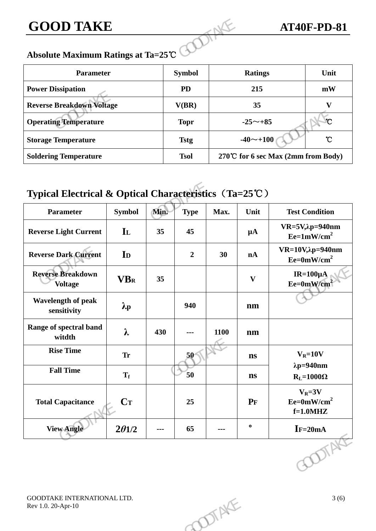#### **Absolute Maximum Ratings at Ta=25**℃

| <b>GOOD TAKE</b>                   |               |                                    | <b>AT40F-PD-81</b> |
|------------------------------------|---------------|------------------------------------|--------------------|
| Absolute Maximum Ratings at Ta=25℃ |               |                                    |                    |
| <b>Parameter</b>                   | <b>Symbol</b> | <b>Ratings</b>                     | Unit               |
| <b>Power Dissipation</b>           | <b>PD</b>     | 215                                | mW                 |
| <b>Reverse Breakdown Voltage</b>   | V(BR)         | 35                                 | V                  |
| <b>Operating Temperature</b>       | <b>Topr</b>   | $-25^{\sim}+85$                    | $\gamma$           |
| <b>Storage Temperature</b>         | <b>Tstg</b>   | $-40$ $\sim$ +100                  | $\mathcal{C}$      |
| <b>Soldering Temperature</b>       | <b>Tsol</b>   | 270℃ for 6 sec Max (2mm from Body) |                    |

# **Typical Electrical & Optical Characteristics**(**Ta=25**℃)

| <b>Operating Temperature</b>                          |                   |                                        | <b>Topr</b>              | °C<br>$-25 - +85$                        |                                    |                                            |  |
|-------------------------------------------------------|-------------------|----------------------------------------|--------------------------|------------------------------------------|------------------------------------|--------------------------------------------|--|
|                                                       |                   |                                        |                          |                                          |                                    |                                            |  |
| <b>Storage Temperature</b>                            |                   |                                        | <b>Tstg</b>              | $^\circ \! \! \mathrm{C}$<br>$-40$ ~+100 |                                    |                                            |  |
| <b>Soldering Temperature</b>                          |                   |                                        | <b>Tsol</b>              |                                          | 270℃ for 6 sec Max (2mm from Body) |                                            |  |
| Typical Electrical & Optical Characteristics (Ta=25℃) |                   |                                        |                          |                                          |                                    |                                            |  |
| <b>Parameter</b>                                      | <b>Symbol</b>     | Min.                                   | <b>Type</b>              | Max.                                     | Unit                               | <b>Test Condition</b>                      |  |
| <b>Reverse Light Current</b>                          | IL                | 35                                     | 45                       |                                          | $\mu A$                            | $VR=5V, \lambda p=940$ nm<br>$Ee=1mW/cm^2$ |  |
| <b>Reverse Dark Current</b>                           | I <sub>D</sub>    |                                        | $\boldsymbol{2}$         | 30                                       | nA                                 | $VR=10V, \lambda p=940nm$<br>$Ee=0mW/cm^2$ |  |
| <b>Reverse Breakdown</b><br><b>Voltage</b>            | <b>VBR</b>        | 35                                     |                          |                                          | $\mathbf{V}$                       | IR= $100 \mu A$<br>$Ee=0mW/cm2$            |  |
| Wavelength of peak<br>sensitivity                     | $\lambda_{\rm p}$ |                                        | 940                      |                                          | nm                                 |                                            |  |
| Range of spectral band<br>witdth                      | $\lambda$         | 430                                    | $\overline{\phantom{a}}$ | 1100                                     | nm                                 |                                            |  |
| <b>Rise Time</b>                                      | <b>Tr</b>         |                                        | 50<                      |                                          | $\mathbf{ns}$                      | $V_R = 10V$                                |  |
| <b>Fall Time</b>                                      | $T_f$             |                                        | 50                       |                                          | $\mathbf{ns}$                      | $\lambda p = 940$ nm<br>$R_L = 1000\Omega$ |  |
| <b>Total Capacitance</b>                              | $C_{T}$           |                                        | 25                       |                                          | $P_{F}$                            | $V_R = 3V$<br>$Ee=0mW/cm^2$<br>$f=1.0$ MHZ |  |
| <b>View Angle</b>                                     | $2\theta$ 1/2     | $\scriptstyle\cdots\scriptstyle\cdots$ | 65                       | $\qquad \qquad \cdots$                   | $\bullet$                          | $I = 20mA$                                 |  |
|                                                       |                   |                                        |                          |                                          |                                    |                                            |  |
| GOODTAKE INTERNATIONAL LTD.<br>Rev 1.0. 20-Apr-10     |                   |                                        |                          | DIENE                                    |                                    | 3(6)                                       |  |
|                                                       |                   |                                        |                          |                                          |                                    |                                            |  |
|                                                       |                   |                                        |                          |                                          |                                    |                                            |  |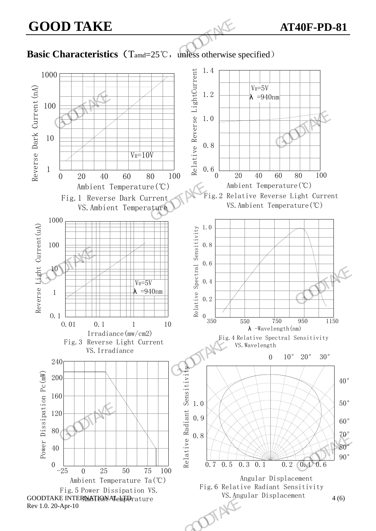#### **Basic Characteristics** (T<sub>amd</sub>=25℃, unless otherwise specified)

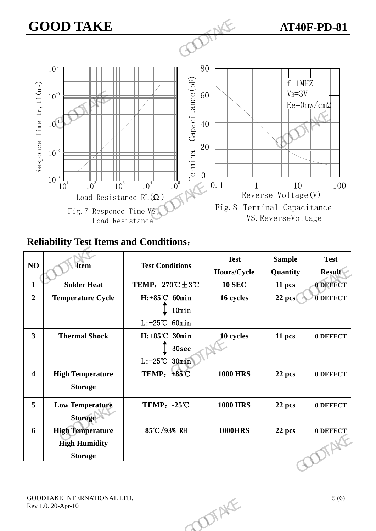

## **Reliability Test Items and Conditions**:

| NO<br><b>Item</b>       |                             |                                                   | <b>Test</b>               | <b>Sample</b> | <b>Test</b>     |
|-------------------------|-----------------------------|---------------------------------------------------|---------------------------|---------------|-----------------|
|                         |                             | <b>Test Conditions</b>                            | Hours/Cycle               | Quantity      | <b>Result</b>   |
| $\mathbf{1}$            | <b>Solder Heat</b>          | TEMP: $270^{\circ}\text{C} \pm 3^{\circ}\text{C}$ | <b>10 SEC</b>             | 11 pcs        | <b>ODEFECT</b>  |
| $\overline{2}$          | <b>Temperature Cycle</b>    | $H: +85^{\circ}C$ 60min                           | 16 cycles<br>$22$ pcs $($ |               | <b>O DEFECT</b> |
|                         |                             | 10min                                             |                           |               |                 |
|                         |                             | $L: -25^{\circ}C$ 60min                           |                           |               |                 |
| $\mathbf{3}$            | <b>Thermal Shock</b>        | $H: +85^{\circ}C$ 30min                           | 10 cycles                 | 11 pcs        | 0 DEFECT        |
|                         |                             | 30 <sub>sec</sub>                                 |                           |               |                 |
|                         |                             | $L: -25^{\circ}C$ 30min                           |                           |               |                 |
| $\overline{\mathbf{4}}$ | <b>High Temperature</b>     | TEMP: +85°C                                       | <b>1000 HRS</b>           | 22 pcs        | 0 DEFECT        |
|                         | <b>Storage</b>              |                                                   |                           |               |                 |
| 5                       | <b>Low Temperature</b>      | <b>TEMP: -25℃</b>                                 | <b>1000 HRS</b>           | 22 pcs        | 0 DEFECT        |
|                         | <b>Storage</b>              |                                                   |                           |               |                 |
| 6                       | <b>High Temperature</b>     | 85℃/93% RH                                        | <b>1000HRS</b>            | 22 pcs        | 0 DEFECT        |
|                         | <b>High Humidity</b>        |                                                   |                           |               |                 |
|                         | <b>Storage</b>              |                                                   |                           |               |                 |
|                         |                             |                                                   |                           |               |                 |
|                         |                             |                                                   |                           |               |                 |
|                         | GOODTAKE INTERNATIONAL LTD. |                                                   |                           |               | 5(6)            |
|                         | Rev 1.0. 20-Apr-10          |                                                   |                           |               |                 |
|                         |                             |                                                   | <b>ODTAKE</b>             |               |                 |
|                         |                             |                                                   |                           |               |                 |